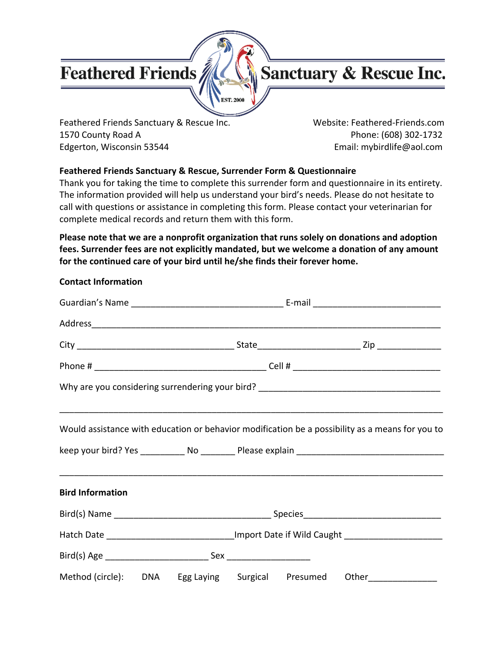# **Feathered Friends**



Feathered Friends Sanctuary & Rescue Inc. Website: Feathered-Friends.com 1570 County Road A Phone: (608) 302-1732 Edgerton, Wisconsin 53544 **Email: mybirdlife@aol.com** 

## **Feathered Friends Sanctuary & Rescue, Surrender Form & Questionnaire**

EST, 2000

Thank you for taking the time to complete this surrender form and questionnaire in its entirety. The information provided will help us understand your bird's needs. Please do not hesitate to call with questions or assistance in completing this form. Please contact your veterinarian for complete medical records and return them with this form.

**Please note that we are a nonprofit organization that runs solely on donations and adoption fees. Surrender fees are not explicitly mandated, but we welcome a donation of any amount for the continued care of your bird until he/she finds their forever home.**

|                         |  |  | Would assistance with education or behavior modification be a possibility as a means for you to |  |
|-------------------------|--|--|-------------------------------------------------------------------------------------------------|--|
| <b>Bird Information</b> |  |  |                                                                                                 |  |
|                         |  |  |                                                                                                 |  |
|                         |  |  | Hatch Date _______________________________Import Date if Wild Caught ____________               |  |
|                         |  |  |                                                                                                 |  |
|                         |  |  | Method (circle): DNA Egg Laying Surgical Presumed Other_______________                          |  |

## **Contact Information**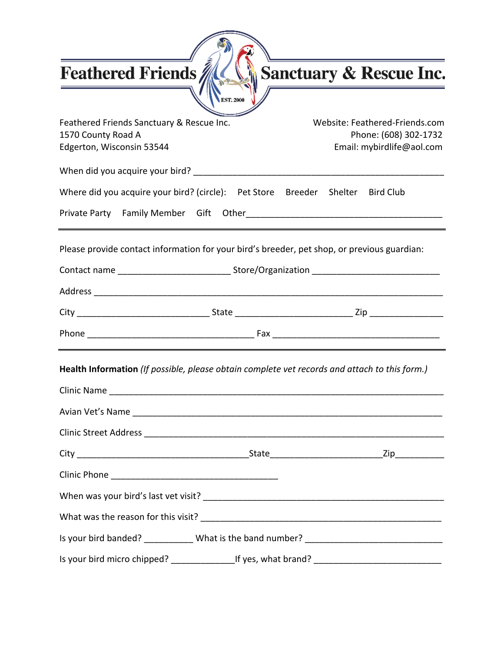| <b>Feathered Friends</b>                                                                     |           | <b>Sanctuary &amp; Rescue Inc.</b>                                                                  |
|----------------------------------------------------------------------------------------------|-----------|-----------------------------------------------------------------------------------------------------|
|                                                                                              | EST. 2000 |                                                                                                     |
| Feathered Friends Sanctuary & Rescue Inc.<br>1570 County Road A<br>Edgerton, Wisconsin 53544 |           | Website: Feathered-Friends.com<br>Phone: (608) 302-1732<br>Email: mybirdlife@aol.com                |
|                                                                                              |           |                                                                                                     |
| Where did you acquire your bird? (circle): Pet Store Breeder Shelter Bird Club               |           |                                                                                                     |
|                                                                                              |           |                                                                                                     |
|                                                                                              |           | Please provide contact information for your bird's breeder, pet shop, or previous guardian:         |
|                                                                                              |           | Contact name ___________________________________Store/Organization ________________________________ |
|                                                                                              |           |                                                                                                     |
|                                                                                              |           |                                                                                                     |
|                                                                                              |           |                                                                                                     |
|                                                                                              |           | Health Information (If possible, please obtain complete vet records and attach to this form.)       |
|                                                                                              |           |                                                                                                     |
|                                                                                              |           |                                                                                                     |
|                                                                                              |           |                                                                                                     |
|                                                                                              |           |                                                                                                     |
|                                                                                              |           |                                                                                                     |
|                                                                                              |           |                                                                                                     |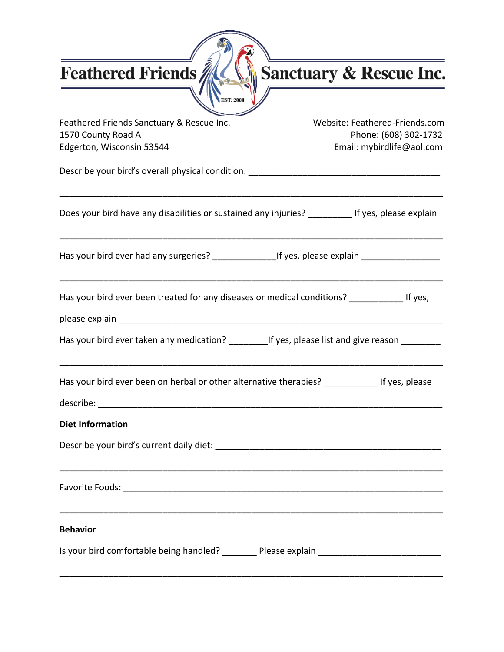Feathered Friends Sanctuary & Rescue Inc.

| Feathered Friends Sanctuary & Rescue Inc.<br>1570 County Road A<br>Edgerton, Wisconsin 53544        | Website: Feathered-Friends.com<br>Phone: (608) 302-1732<br>Email: mybirdlife@aol.com |
|-----------------------------------------------------------------------------------------------------|--------------------------------------------------------------------------------------|
|                                                                                                     |                                                                                      |
| Does your bird have any disabilities or sustained any injuries? _________ If yes, please explain    |                                                                                      |
| Has your bird ever had any surgeries? __________________If yes, please explain ____________________ |                                                                                      |
| Has your bird ever been treated for any diseases or medical conditions? _____________ If yes,       |                                                                                      |
| Has your bird ever taken any medication? _____________If yes, please list and give reason _________ |                                                                                      |
| Has your bird ever been on herbal or other alternative therapies? ______________ If yes, please     |                                                                                      |
| <b>Diet Information</b>                                                                             |                                                                                      |
|                                                                                                     |                                                                                      |
|                                                                                                     |                                                                                      |
| <b>Behavior</b>                                                                                     |                                                                                      |
| Is your bird comfortable being handled? ________ Please explain ___________________________________ |                                                                                      |

 $\widehat{\mathbb{R}}$ 

**EST. 2000** 

\_\_\_\_\_\_\_\_\_\_\_\_\_\_\_\_\_\_\_\_\_\_\_\_\_\_\_\_\_\_\_\_\_\_\_\_\_\_\_\_\_\_\_\_\_\_\_\_\_\_\_\_\_\_\_\_\_\_\_\_\_\_\_\_\_\_\_\_\_\_\_\_\_\_\_\_\_\_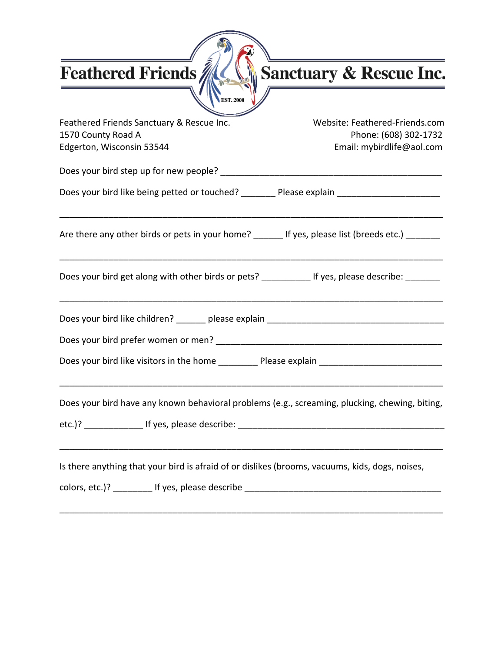Sanctuary & Rescue Inc.

| Feathered Friends Sanctuary & Rescue Inc.<br>1570 County Road A                                                                                                                                                               | Website: Feathered-Friends.com<br>Phone: (608) 302-1732 |  |  |  |
|-------------------------------------------------------------------------------------------------------------------------------------------------------------------------------------------------------------------------------|---------------------------------------------------------|--|--|--|
| Edgerton, Wisconsin 53544<br>Email: mybirdlife@aol.com                                                                                                                                                                        |                                                         |  |  |  |
| Does your bird step up for new people? Department of the state of the state of the Decker of the Decker of the                                                                                                                |                                                         |  |  |  |
| Does your bird like being petted or touched? Please explain ____________________                                                                                                                                              |                                                         |  |  |  |
| Are there any other birds or pets in your home? If yes, please list (breeds etc.)                                                                                                                                             |                                                         |  |  |  |
| Does your bird get along with other birds or pets? ____________ If yes, please describe: _______                                                                                                                              |                                                         |  |  |  |
| Does your bird like children? ________ please explain ___________________________                                                                                                                                             |                                                         |  |  |  |
|                                                                                                                                                                                                                               |                                                         |  |  |  |
| Does your bird like visitors in the home The Please explain                                                                                                                                                                   |                                                         |  |  |  |
| Does your bird have any known behavioral problems (e.g., screaming, plucking, chewing, biting,                                                                                                                                |                                                         |  |  |  |
|                                                                                                                                                                                                                               |                                                         |  |  |  |
| Is there anything that your bird is afraid of or dislikes (brooms, vacuums, kids, dogs, noises,                                                                                                                               |                                                         |  |  |  |
| colors, etc.)? The rest of the set of the set of the set of the set of the set of the set of the set of the set of the set of the set of the set of the set of the set of the set of the set of the set of the set of the set |                                                         |  |  |  |

 $\widehat{\mathbb{R}}$ 

'n

**EST. 2000** 

\_\_\_\_\_\_\_\_\_\_\_\_\_\_\_\_\_\_\_\_\_\_\_\_\_\_\_\_\_\_\_\_\_\_\_\_\_\_\_\_\_\_\_\_\_\_\_\_\_\_\_\_\_\_\_\_\_\_\_\_\_\_\_\_\_\_\_\_\_\_\_\_\_\_\_\_\_\_